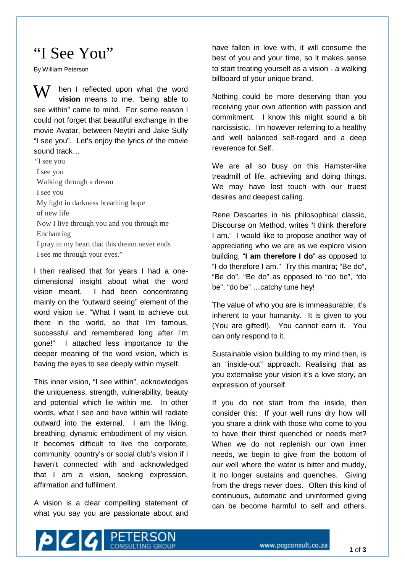## "I See You"

By William Peterson

hen I reflected upon what the word **vision** means to me, "being able to see within" came to mind. For some reason I could not forget that beautiful exchange in the movie Avatar, between Neytiri and Jake Sully "I see you". Let's enjoy the lyrics of the movie sound track… **XX** 

"I see you I see you Walking through a dream I see you My light in darkness breathing hope of new life Now I live through you and you through me Enchanting I pray in my heart that this dream never ends I see me through your eyes."

I then realised that for years I had a onedimensional insight about what the word vision meant. I had been concentrating mainly on the "outward seeing" element of the word vision i.e. "What I want to achieve out there in the world, so that I'm famous, successful and remembered long after I'm gone!" I attached less importance to the deeper meaning of the word vision, which is having the eyes to see deeply within myself.

This inner vision, "I see within", acknowledges the uniqueness, strength, vulnerability, beauty and potential which lie within me. In other words, what I see and have within will radiate outward into the external. I am the living, breathing, dynamic embodiment of my vision. It becomes difficult to live the corporate, community, country's or social club's vision if I haven't connected with and acknowledged that I am a vision, seeking expression, affirmation and fulfilment.

A vision is a clear compelling statement of what you say you are passionate about and

have fallen in love with, it will consume the best of you and your time, so it makes sense to start treating yourself as a vision - a walking billboard of your unique brand.

Nothing could be more deserving than you receiving your own attention with passion and commitment. I know this might sound a bit narcissistic. I'm however referring to a healthy and well balanced self-regard and a deep reverence for Self.

We are all so busy on this Hamster-like treadmill of life, achieving and doing things. We may have lost touch with our truest desires and deepest calling.

Rene Descartes in his philosophical classic, Discourse on Method, writes **'**I think therefore I am**.**' I would like to propose another way of appreciating who we are as we explore vision building, "**I am therefore I do**" as opposed to "I do therefore I am." Try this mantra; "Be do", "Be do", "Be do" as opposed to "do be", "do be", "do be" …catchy tune hey!

The value of who you are is immeasurable; it's inherent to your humanity. It is given to you (You are gifted!). You cannot earn it. You can only respond to it.

Sustainable vision building to my mind then, is an "inside-out" approach. Realising that as you externalise your vision it's a love story, an expression of yourself.

If you do not start from the inside, then consider this: If your well runs dry how will you share a drink with those who come to you to have their thirst quenched or needs met? When we do not replenish our own inner needs, we begin to give from the bottom of our well where the water is bitter and muddy, it no longer sustains and quenches. Giving from the dregs never does. Often this kind of continuous, automatic and uninformed giving can be become harmful to self and others.

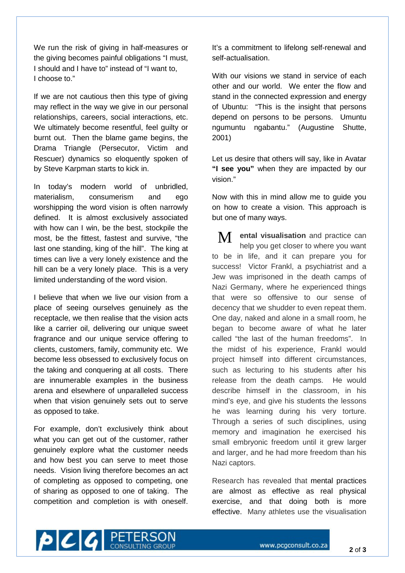We run the risk of giving in half-measures or the giving becomes painful obligations "I must, I should and I have to" instead of "I want to, I choose to."

If we are not cautious then this type of giving may reflect in the way we give in our personal relationships, careers, social interactions, etc. We ultimately become resentful, feel guilty or burnt out. Then the blame game begins, the Drama Triangle (Persecutor, Victim and Rescuer) dynamics so eloquently spoken of by Steve Karpman starts to kick in.

In today's modern world of unbridled, materialism, consumerism and ego worshipping the word vision is often narrowly defined. It is almost exclusively associated with how can I win, be the best, stockpile the most, be the fittest, fastest and survive, "the last one standing, king of the hill". The king at times can live a very lonely existence and the hill can be a very lonely place. This is a very limited understanding of the word vision.

I believe that when we live our vision from a place of seeing ourselves genuinely as the receptacle, we then realise that the vision acts like a carrier oil, delivering our unique sweet fragrance and our unique service offering to clients, customers, family, community etc. We become less obsessed to exclusively focus on the taking and conquering at all costs. There are innumerable examples in the business arena and elsewhere of unparalleled success when that vision genuinely sets out to serve as opposed to take.

For example, don't exclusively think about what you can get out of the customer, rather genuinely explore what the customer needs and how best you can serve to meet those needs. Vision living therefore becomes an act of completing as opposed to competing, one of sharing as opposed to one of taking. The competition and completion is with oneself.

It's a commitment to lifelong self-renewal and self-actualisation.

With our visions we stand in service of each other and our world. We enter the flow and stand in the connected expression and energy of Ubuntu: "This is the insight that persons depend on persons to be persons. Umuntu ngumuntu ngabantu." (Augustine Shutte, 2001)

Let us desire that others will say, like in Avatar **"I see you"** when they are impacted by our vision."

Now with this in mind allow me to guide you on how to create a vision. This approach is but one of many ways.

 $\mathbf{M}$  ental visualisation and practice can<br>help you get closer to where you want help you get closer to where you want to be in life, and it can prepare you for success! Victor Frankl, a psychiatrist and a Jew was imprisoned in the death camps of Nazi Germany, where he experienced things that were so offensive to our sense of decency that we shudder to even repeat them. One day, naked and alone in a small room, he began to become aware of what he later called "the last of the human freedoms". In the midst of his experience, Frankl would project himself into different circumstances, such as lecturing to his students after his release from the death camps. He would describe himself in the classroom, in his mind's eye, and give his students the lessons he was learning during his very torture. Through a series of such disciplines, using memory and imagination he exercised his small embryonic freedom until it grew larger and larger, and he had more freedom than his Nazi captors.

Research has revealed that [mental practices](http://www.ncbi.nlm.nih.gov/pubmed/14998709)  [are almost as effective as real physical](http://www.ncbi.nlm.nih.gov/pubmed/14998709)  [exercise, and that doing both is more](http://www.ncbi.nlm.nih.gov/pubmed/14998709)  [effective.](http://www.ncbi.nlm.nih.gov/pubmed/14998709) Many athletes use the visualisation